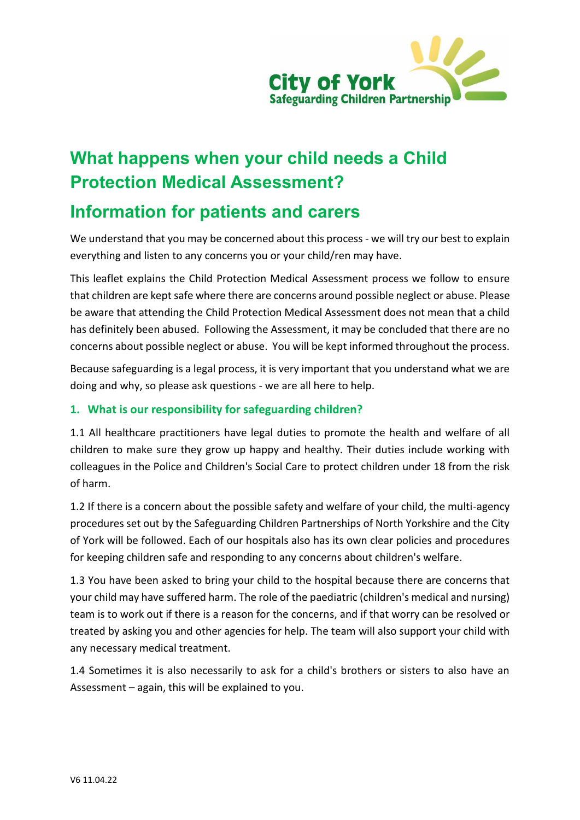

# **What happens when your child needs a Child Protection Medical Assessment?**

# **Information for patients and carers**

We understand that you may be concerned about this process - we will try our best to explain everything and listen to any concerns you or your child/ren may have.

This leaflet explains the Child Protection Medical Assessment process we follow to ensure that children are kept safe where there are concerns around possible neglect or abuse. Please be aware that attending the Child Protection Medical Assessment does not mean that a child has definitely been abused. Following the Assessment, it may be concluded that there are no concerns about possible neglect or abuse. You will be kept informed throughout the process.

Because safeguarding is a legal process, it is very important that you understand what we are doing and why, so please ask questions - we are all here to help.

# **1. What is our responsibility for safeguarding children?**

1.1 All healthcare practitioners have legal duties to promote the health and welfare of all children to make sure they grow up happy and healthy. Their duties include working with colleagues in the Police and Children's Social Care to protect children under 18 from the risk of harm.

1.2 If there is a concern about the possible safety and welfare of your child, the multi-agency procedures set out by the Safeguarding Children Partnerships of North Yorkshire and the City of York will be followed. Each of our hospitals also has its own clear policies and procedures for keeping children safe and responding to any concerns about children's welfare.

1.3 You have been asked to bring your child to the hospital because there are concerns that your child may have suffered harm. The role of the paediatric (children's medical and nursing) team is to work out if there is a reason for the concerns, and if that worry can be resolved or treated by asking you and other agencies for help. The team will also support your child with any necessary medical treatment.

1.4 Sometimes it is also necessarily to ask for a child's brothers or sisters to also have an Assessment – again, this will be explained to you.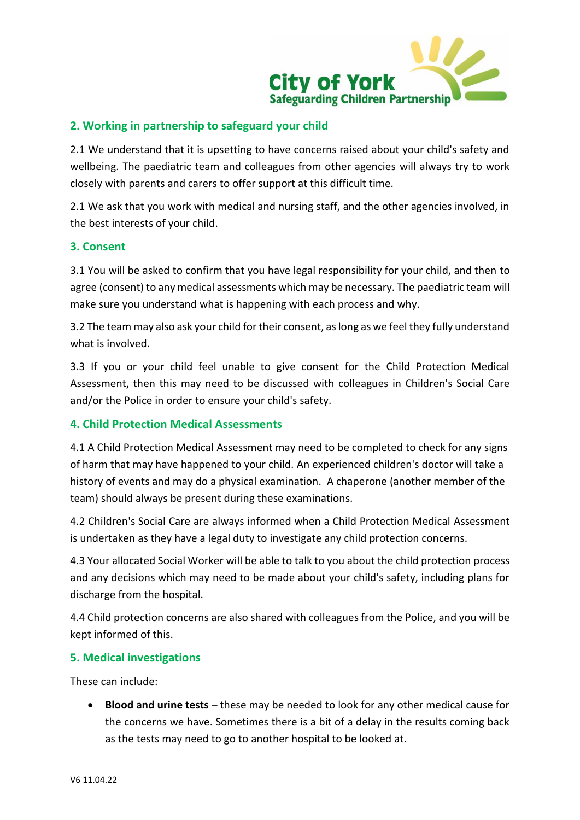

# **2. Working in partnership to safeguard your child**

2.1 We understand that it is upsetting to have concerns raised about your child's safety and wellbeing. The paediatric team and colleagues from other agencies will always try to work closely with parents and carers to offer support at this difficult time.

2.1 We ask that you work with medical and nursing staff, and the other agencies involved, in the best interests of your child.

#### **3. Consent**

3.1 You will be asked to confirm that you have legal responsibility for your child, and then to agree (consent) to any medical assessments which may be necessary. The paediatric team will make sure you understand what is happening with each process and why.

3.2 The team may also ask your child for their consent, as long as we feel they fully understand what is involved.

3.3 If you or your child feel unable to give consent for the Child Protection Medical Assessment, then this may need to be discussed with colleagues in Children's Social Care and/or the Police in order to ensure your child's safety.

#### **4. Child Protection Medical Assessments**

4.1 A Child Protection Medical Assessment may need to be completed to check for any signs of harm that may have happened to your child. An experienced children's doctor will take a history of events and may do a physical examination. A chaperone (another member of the team) should always be present during these examinations.

4.2 Children's Social Care are always informed when a Child Protection Medical Assessment is undertaken as they have a legal duty to investigate any child protection concerns.

4.3 Your allocated Social Worker will be able to talk to you about the child protection process and any decisions which may need to be made about your child's safety, including plans for discharge from the hospital.

4.4 Child protection concerns are also shared with colleagues from the Police, and you will be kept informed of this.

#### **5. Medical investigations**

These can include:

 **Blood and urine tests** – these may be needed to look for any other medical cause for the concerns we have. Sometimes there is a bit of a delay in the results coming back as the tests may need to go to another hospital to be looked at.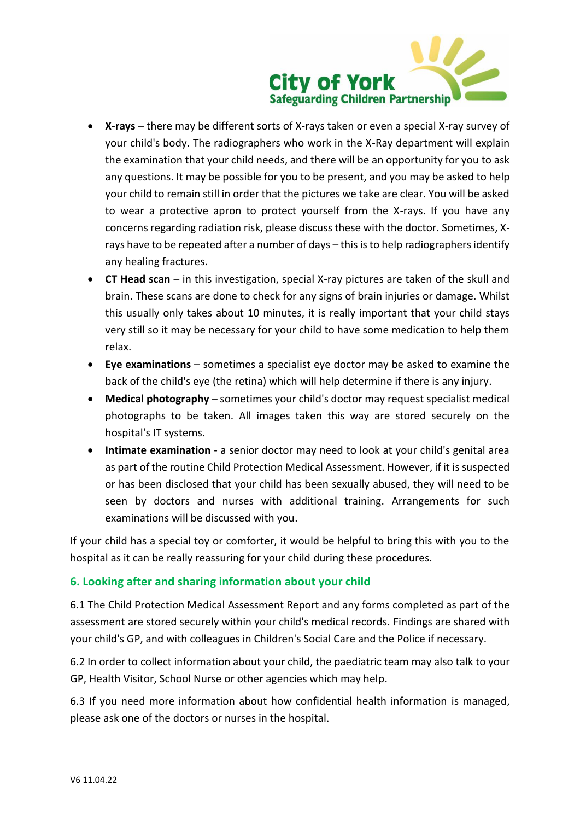

- **X-rays** there may be different sorts of X-rays taken or even a special X-ray survey of your child's body. The radiographers who work in the X-Ray department will explain the examination that your child needs, and there will be an opportunity for you to ask any questions. It may be possible for you to be present, and you may be asked to help your child to remain still in order that the pictures we take are clear. You will be asked to wear a protective apron to protect yourself from the X-rays. If you have any concerns regarding radiation risk, please discuss these with the doctor. Sometimes, Xrays have to be repeated after a number of days – this is to help radiographers identify any healing fractures.
- **CT Head scan** in this investigation, special X-ray pictures are taken of the skull and brain. These scans are done to check for any signs of brain injuries or damage. Whilst this usually only takes about 10 minutes, it is really important that your child stays very still so it may be necessary for your child to have some medication to help them relax.
- **Eye examinations** sometimes a specialist eye doctor may be asked to examine the back of the child's eye (the retina) which will help determine if there is any injury.
- **Medical photography**  sometimes your child's doctor may request specialist medical photographs to be taken. All images taken this way are stored securely on the hospital's IT systems.
- **Intimate examination**  a senior doctor may need to look at your child's genital area as part of the routine Child Protection Medical Assessment. However, if it is suspected or has been disclosed that your child has been sexually abused, they will need to be seen by doctors and nurses with additional training. Arrangements for such examinations will be discussed with you.

If your child has a special toy or comforter, it would be helpful to bring this with you to the hospital as it can be really reassuring for your child during these procedures.

# **6. Looking after and sharing information about your child**

6.1 The Child Protection Medical Assessment Report and any forms completed as part of the assessment are stored securely within your child's medical records. Findings are shared with your child's GP, and with colleagues in Children's Social Care and the Police if necessary.

6.2 In order to collect information about your child, the paediatric team may also talk to your GP, Health Visitor, School Nurse or other agencies which may help.

6.3 If you need more information about how confidential health information is managed, please ask one of the doctors or nurses in the hospital.